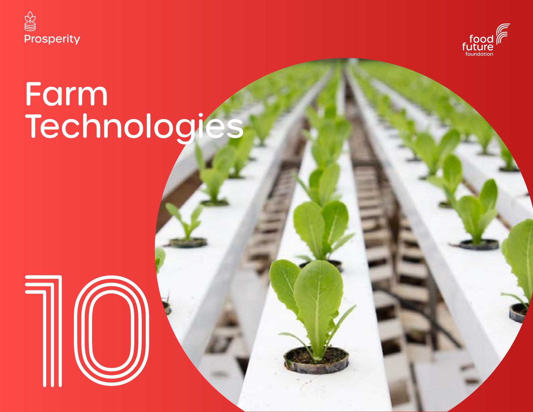



# Farm Technologies

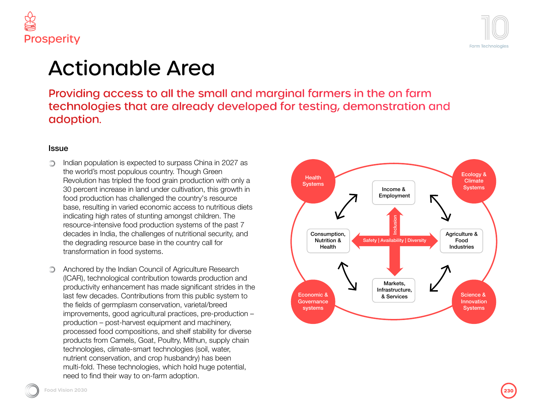



## Actionable Area

roviding access to all the small and marginal farmers in the on farm echnologies that are already developed for testing, demonstration and doption.

#### sue

Indian population is expected to surpass China in 2027 as the world's most populous country. Though Green Revolution has tripled the food grain production with only a 30 percent increase in land under cultivation, this growth in food production has challenged the country's resource base, resulting in varied economic access to nutritious diets indicating high rates of stunting amongst children. The resource-intensive food production systems of the past 7 decades in India, the challenges of nutritional security, and the degrading resource base in the country call for transformation in food systems.

Anchored by the Indian Council of Agriculture Research (ICAR), technological contribution towards production and productivity enhancement has made significant strides in the last few decades. Contributions from this public system to the fields of germplasm conservation, varietal/breed improvements, good agricultural practices, pre-production – production – post-harvest equipment and machinery, processed food compositions, and shelf stability for diverse products from Camels, Goat, Poultry, Mithun, supply chain technologies, climate-smart technologies (soil, water, nutrient conservation, and crop husbandry) has been multi-fold. These technologies, which hold huge potential, need to find their way to on-farm adoption.



**Food Vision 2030 Food Vision 20302301**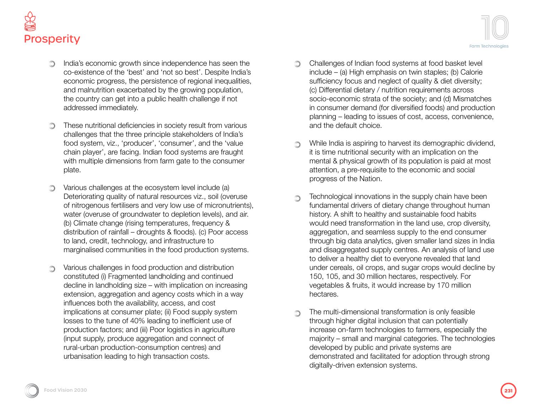

- India's economic growth since independence has seen the ∩ co-existence of the 'best' and 'not so best'. Despite India's economic progress, the persistence of regional inequalities, and malnutrition exacerbated by the growing population, the country can get into a public health challenge if not addressed immediately.
- These nutritional deficiencies in society result from various ∩ challenges that the three principle stakeholders of India's food system, viz., 'producer', 'consumer', and the 'value chain player', are facing. Indian food systems are fraught with multiple dimensions from farm gate to the consumer plate.
- Various challenges at the ecosystem level include (a) ∩ Deteriorating quality of natural resources viz., soil (overuse of nitrogenous fertilisers and very low use of micronutrients), water (overuse of groundwater to depletion levels), and air. (b) Climate change (rising temperatures, frequency & distribution of rainfall – droughts & floods). (c) Poor access to land, credit, technology, and infrastructure to marginalised communities in the food production systems.
- Various challenges in food production and distribution Ô constituted (i) Fragmented landholding and continued decline in landholding size – with implication on increasing extension, aggregation and agency costs which in a way influences both the availability, access, and cost implications at consumer plate; (ii) Food supply system losses to the tune of 40% leading to inefficient use of production factors; and (iii) Poor logistics in agriculture (input supply, produce aggregation and connect of rural-urban production-consumption centres) and urbanisation leading to high transaction costs.
- Challenges of Indian food systems at food basket level  $\circledcirc$ include – (a) High emphasis on twin staples; (b) Calorie sufficiency focus and neglect of quality & diet diversity; (c) Differential dietary / nutrition requirements across socio-economic strata of the society; and (d) Mismatches in consumer demand (for diversified foods) and production planning – leading to issues of cost, access, convenience, and the default choice.
- While India is aspiring to harvest its demographic dividend, ∩ it is time nutritional security with an implication on the mental & physical growth of its population is paid at most attention, a pre-requisite to the economic and social progress of the Nation.
- Technological innovations in the supply chain have been  $\bigcirc$ fundamental drivers of dietary change throughout human history. A shift to healthy and sustainable food habits would need transformation in the land use, crop diversity, aggregation, and seamless supply to the end consumer through big data analytics, given smaller land sizes in India and disaggregated supply centres. An analysis of land use to deliver a healthy diet to everyone revealed that land under cereals, oil crops, and sugar crops would decline by 150, 105, and 30 million hectares, respectively. For vegetables & fruits, it would increase by 170 million hectares.
- The multi-dimensional transformation is only feasible through higher digital inclusion that can potentially increase on-farm technologies to farmers, especially the majority – small and marginal categories. The technologies developed by public and private systems are demonstrated and facilitated for adoption through strong digitally-driven extension systems.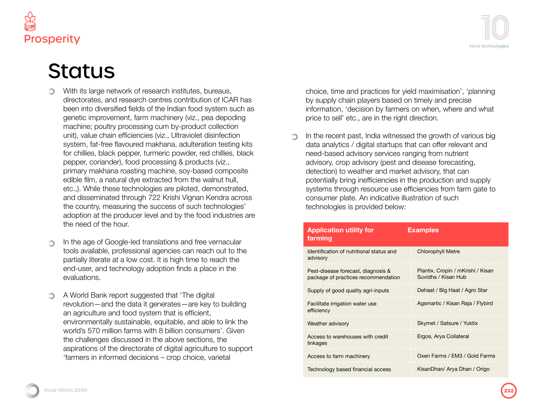

### **Status**

- With its large network of research institutes, bureaus, directorates, and research centres contribution of ICAR has been into diversified fields of the Indian food system such as genetic improvement, farm machinery (viz., pea depoding machine; poultry processing cum by-product collection unit), value chain efficiencies (viz., Ultraviolet disinfection system, fat-free flavoured makhana, adulteration testing kits for chillies, black pepper, turmeric powder, red chillies, black pepper, coriander), food processing & products (viz., primary makhana roasting machine, soy-based composite edible film, a natural dye extracted from the walnut hull, etc.,). While these technologies are piloted, demonstrated, and disseminated through 722 Krishi Vignan Kendra across the country, measuring the success of such technologies' adoption at the producer level and by the food industries are the need of the hour.
- In the age of Google-led translations and free vernacular tools available, professional agencies can reach out to the partially literate at a low cost. It is high time to reach the end-user, and technology adoption finds a place in the evaluations.
- A World Bank report suggested that 'The digital ∩ revolution—and the data it generates—are key to building an agriculture and food system that is efficient, environmentally sustainable, equitable, and able to link the world's 570 million farms with 8 billion consumers'. Given the challenges discussed in the above sections, the aspirations of the directorate of digital agriculture to support 'farmers in informed decisions – crop choice, varietal

choice, time and practices for yield maximisation', 'planning by supply chain players based on timely and precise information, 'decision by farmers on when, where and what price to sell' etc., are in the right direction.

In the recent past, India witnessed the growth of various big data analytics / digital startups that can offer relevant and need-based advisory services ranging from nutrient advisory, crop advisory (pest and disease forecasting, detection) to weather and market advisory, that can potentially bring inefficiencies in the production and supply systems through resource use efficiencies from farm gate to consumer plate. An indicative illustration of such technologies is provided below:

| <b>Application utility for</b><br>farming                                 | <b>Examples</b>                                          |
|---------------------------------------------------------------------------|----------------------------------------------------------|
| Identification of nutritional status and<br>advisory                      | <b>Chlorophyll Metre</b>                                 |
| Pest-disease forecast, diagnosis &<br>package of practices recommendation | Plantix, Cropin / mKrishi / Kisan<br>Suvidha / Kisan Hub |
| Supply of good quality agri-inputs                                        | Dehaat / Big Haat / Agro Star                            |
| Facilitate irrigation water use<br>efficiency                             | Agsmartic / Kisan Raja / Flybird                         |
| Weather advisory                                                          | Skymet / Satsure / Yuktix                                |
| Access to warehouses with credit<br>linkages                              | Ergos, Arya Collateral                                   |
| Access to farm machinery                                                  | Oxen Farms / EM3 / Gold Farms                            |
| Technology based financial access                                         | KisanDhan/ Arya Dhan / Origo                             |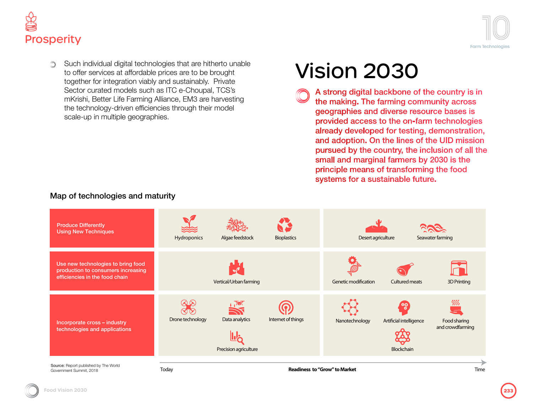



Such individual digital technologies that are hitherto unable ∩ to offer services at affordable prices are to be brought together for integration viably and sustainably. Private Sector curated models such as ITC e-Choupal, TCS's mKrishi, Better Life Farming Alliance, EM3 are harvesting the technology-driven efficiencies through their model scale-up in multiple geographies.

# Vision 2030

A strong digital backbone of the country is in the making. The farming community across geographies and diverse resource bases is provided access to the on-farm technologies already developed for testing, demonstration, and adoption. On the lines of the UID mission pursued by the country, the inclusion of all the small and marginal farmers by 2030 is the principle means of transforming the food systems for a sustainable future.



### Map of technologies and maturity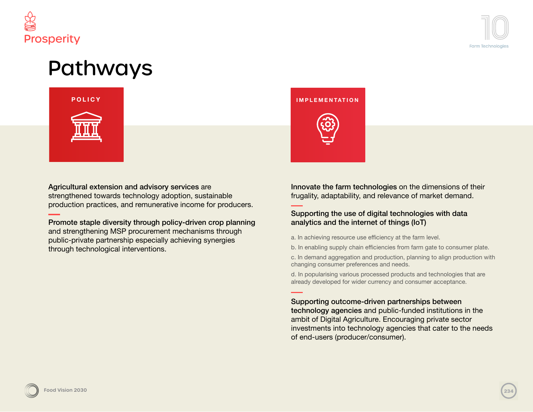



### Pathways



Agricultural extension and advisory services are strengthened towards technology adoption, sustainable production practices, and remunerative income for producers.

Promote staple diversity through policy-driven crop planning and strengthening MSP procurement mechanisms through public-private partnership especially achieving synergies through technological interventions.



Innovate the farm technologies on the dimensions of their frugality, adaptability, and relevance of market demand.

#### Supporting the use of digital technologies with data analytics and the internet of things (IoT)

- a. In achieving resource use efficiency at the farm level.
- b. In enabling supply chain efficiencies from farm gate to consumer plate.

c. In demand aggregation and production, planning to align production with changing consumer preferences and needs.

d. In popularising various processed products and technologies that are already developed for wider currency and consumer acceptance.

#### Supporting outcome-driven partnerships between

technology agencies and public-funded institutions in the ambit of Digital Agriculture. Encouraging private sector investments into technology agencies that cater to the needs of end-users (producer/consumer).